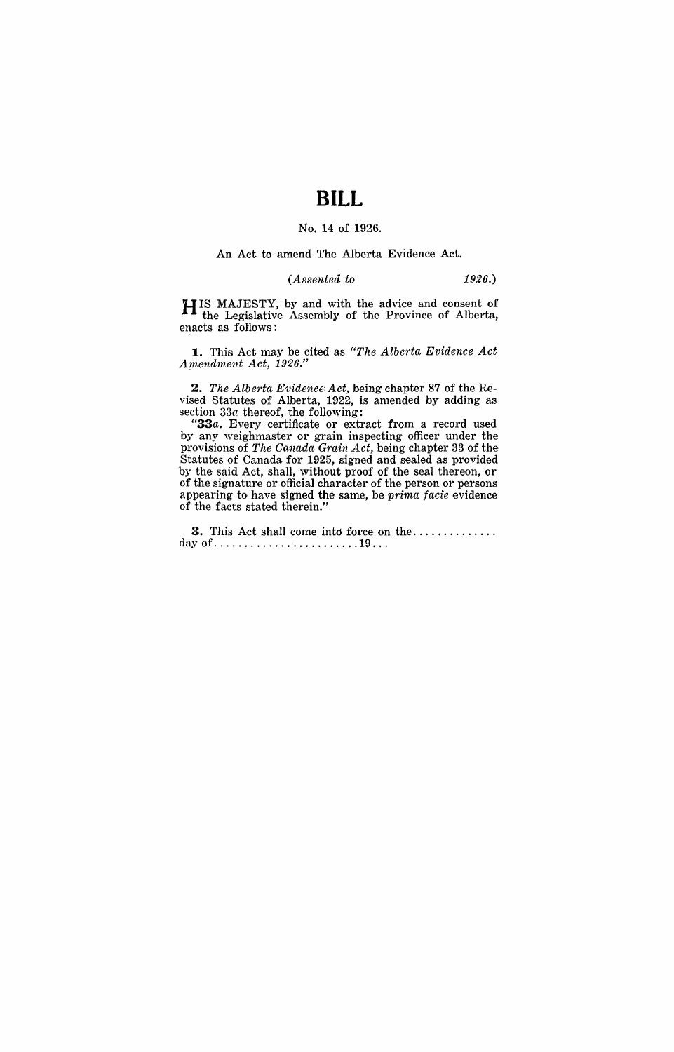# **BILL**

### No. 14 of 1926.

#### An Act to amend The Alberta Evidence Act.

#### *(Assented to* 1926.)

HIS MAJESTY, by and with the advice and consent of the Legislative Assembly of the Province of Alberta, enacts as follows:

**1.** This Act may be cited as "The Alberta Evidence Act *Amendment Act, 1926."* 

*2. The Alberta Evidence Act,* being chapter 87 of the Revised Statutes of Alberta, 1922, is amended by adding as section 33a thereof, the following:

*"33a.* Every certificate or extract from a record used by any weighmaster or grain inspecting officer under the provisions of *The Canada Grain Act,* being chapter 33 of the Statutes of Canada for 1925, signed and sealed as provided by the said Act, shall, without proof of the seal thereon, or of the signature or official character of the person or persons appearing to have signed the same, be *prima facie* evidence of the facts stated therein."

**3.** This Act shall come int6 force on the ............. . day of ............. ' ........... 19 .. .